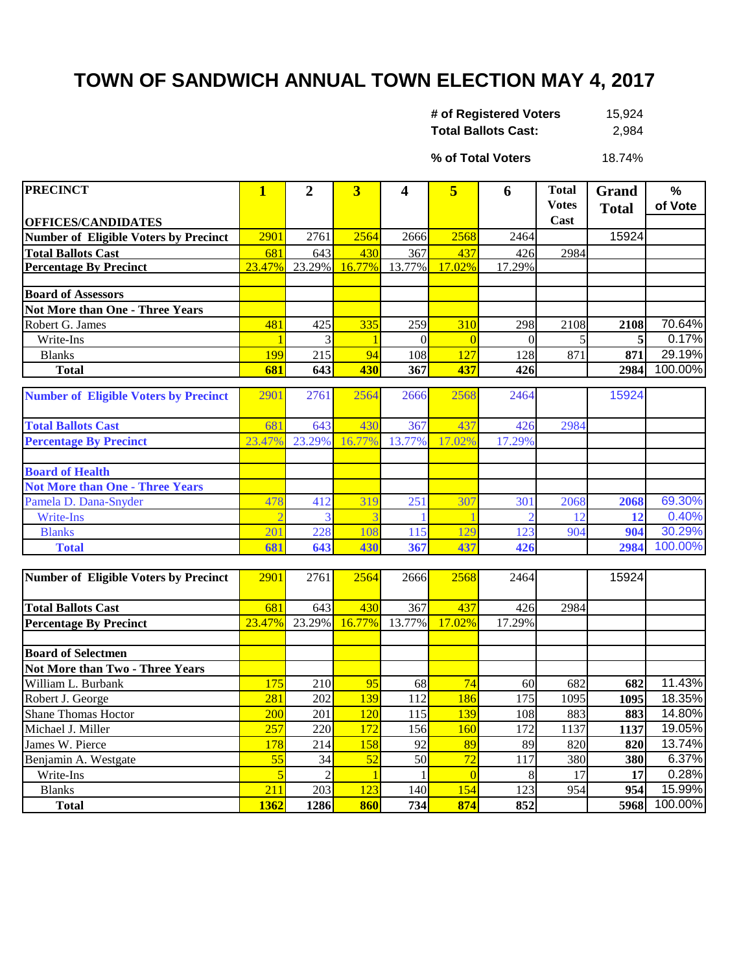## **TOWN OF SANDWICH ANNUAL TOWN ELECTION MAY 4, 2017**

| # of Registered Voters     | 15.924 |
|----------------------------|--------|
| <b>Total Ballots Cast:</b> | 2,984  |

18.74% **% of Total Voters**

| <b>PRECINCT</b>                              | $\mathbf{1}$     | $\overline{2}$   | 3               | 4        | 5              | 6                | <b>Total</b> | Grand        | $\frac{0}{0}$ |
|----------------------------------------------|------------------|------------------|-----------------|----------|----------------|------------------|--------------|--------------|---------------|
|                                              |                  |                  |                 |          |                |                  | <b>Votes</b> | <b>Total</b> | of Vote       |
| <b>OFFICES/CANDIDATES</b>                    |                  |                  |                 |          |                |                  | Cast         |              |               |
| <b>Number of Eligible Voters by Precinct</b> | 2901             | 2761             | 2564            | 2666     | 2568           | 2464             |              | 15924        |               |
| <b>Total Ballots Cast</b>                    | 681              | 643              | 430             | 367      | 437            | 426              | 2984         |              |               |
| <b>Percentage By Precinct</b>                | 23.47%           | 23.29%           | 16.77%          | 13.77%   | 17.02%         | 17.29%           |              |              |               |
|                                              |                  |                  |                 |          |                |                  |              |              |               |
| <b>Board of Assessors</b>                    |                  |                  |                 |          |                |                  |              |              |               |
| <b>Not More than One - Three Years</b>       |                  |                  |                 |          |                |                  |              |              |               |
| Robert G. James                              | 481              | 425              | 335             | 259      | 310            | 298              | 2108         | 2108         | 70.64%        |
| Write-Ins                                    |                  | 3                | $\mathbf{1}$    | $\theta$ | $\overline{0}$ | $\theta$         | 5            | 5            | 0.17%         |
| <b>Blanks</b>                                | 199              | $\overline{215}$ | 94              | 108      | 127            | 128              | 871          | 871          | 29.19%        |
| <b>Total</b>                                 | 681              | 643              | 430             | 367      | 437            | 426              |              | 2984         | 100.00%       |
|                                              |                  |                  |                 |          |                |                  |              |              |               |
| <b>Number of Eligible Voters by Precinct</b> | 2901             | 2761             | 2564            | 2666     | 2568           | 2464             |              | 15924        |               |
| <b>Total Ballots Cast</b>                    | 681              | 643              | 430             | 367      | 437            | 426              | 2984         |              |               |
| <b>Percentage By Precinct</b>                | 23.47%           | 23.29%           | 16.77%          | 13.77%   | 17.02%         | 17.29%           |              |              |               |
|                                              |                  |                  |                 |          |                |                  |              |              |               |
| <b>Board of Health</b>                       |                  |                  |                 |          |                |                  |              |              |               |
| <b>Not More than One - Three Years</b>       |                  |                  |                 |          |                |                  |              |              |               |
| Pamela D. Dana-Snyder                        | 478              | 412              | 319             | 251      | 307            | 301              | 2068         | 2068         | 69.30%        |
| <b>Write-Ins</b>                             |                  |                  |                 |          |                |                  | 12           | 12           | 0.40%         |
| <b>Blanks</b>                                | 201              | 228              | 108             | 115      | 129            | 123              | 904          | 904          | 30.29%        |
| <b>Total</b>                                 | 681              | 643              | 430             | 367      | 437            | 426              |              | 2984         | 100.00%       |
|                                              |                  |                  |                 |          |                |                  |              |              |               |
| <b>Number of Eligible Voters by Precinct</b> | 2901             | 2761             | 2564            | 2666     | 2568           | 2464             |              | 15924        |               |
|                                              |                  |                  |                 |          |                |                  |              |              |               |
| <b>Total Ballots Cast</b>                    | 681              | 643              | 430             | 367      | 437            | 426              | 2984         |              |               |
| <b>Percentage By Precinct</b>                | 23.47%           | 23.29%           | 16.77%          | 13.77%   | 17.02%         | 17.29%           |              |              |               |
|                                              |                  |                  |                 |          |                |                  |              |              |               |
| <b>Board of Selectmen</b>                    |                  |                  |                 |          |                |                  |              |              |               |
| Not More than Two - Three Years              |                  |                  |                 |          |                |                  |              |              |               |
| William L. Burbank                           | $\overline{175}$ | 210              | 95              | 68       | 74             | 60               | 682          | 682          | 11.43%        |
| Robert J. George                             | 281              | 202              | 139             | 112      | 186            | 175              | 1095         | 1095         | 18.35%        |
| <b>Shane Thomas Hoctor</b>                   | 200              | 201              | 120             | 115      | 139            | 108              | 883          | 883          | 14.80%        |
| Michael J. Miller                            | 257              | 220              | 172             | 156      | 160            | 172              | 1137         | 1137         | 19.05%        |
| James W. Pierce                              | 178              | 214              | 158             | 92       | 89             | 89               | 820          | 820          | 13.74%        |
| Benjamin A. Westgate                         | $\overline{55}$  | $\overline{34}$  | $\overline{52}$ | 50       | 72             | $\overline{117}$ | 380          | 380          | 6.37%         |
| Write-Ins                                    | 5                | $\overline{c}$   | $\overline{1}$  |          | $\overline{0}$ | 8                | 17           | 17           | 0.28%         |
| <b>Blanks</b>                                | 211              | 203              | 123             | 140      | 154            | 123              | 954          | 954          | 15.99%        |
| <b>Total</b>                                 | 1362             | 1286             | 860             | 734      | 874            | 852              |              | 5968         | 100.00%       |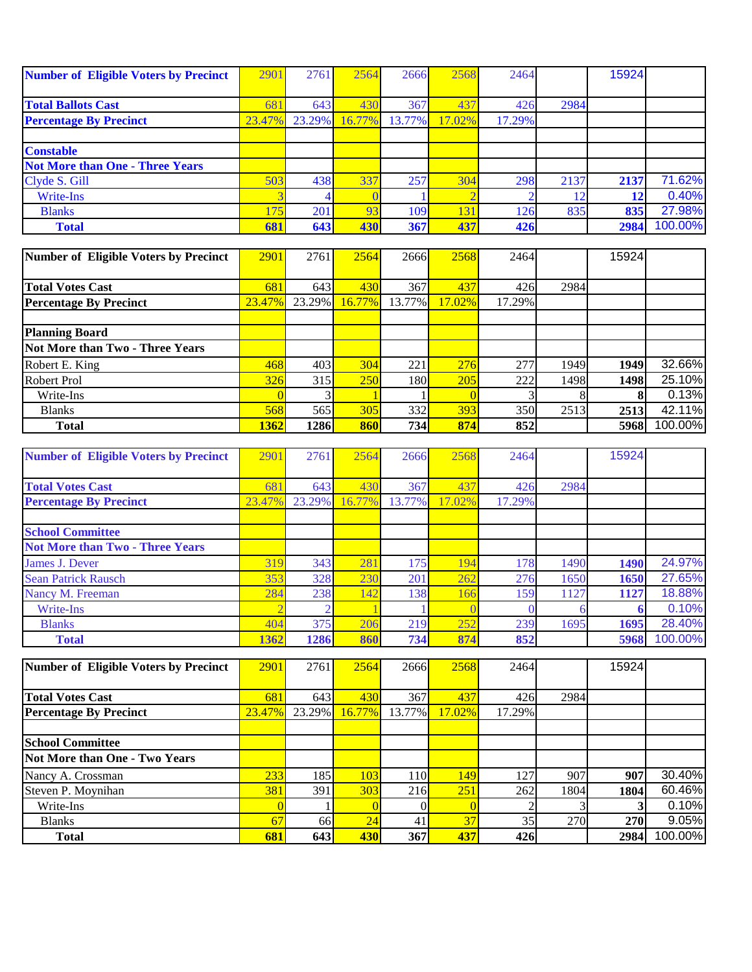| <b>Number of Eligible Voters by Precinct</b> | 2901   | 2761   | 2564   | 2666   | 2568            | 2464   |      | 15924 |         |
|----------------------------------------------|--------|--------|--------|--------|-----------------|--------|------|-------|---------|
|                                              |        |        |        |        |                 |        |      |       |         |
| <b>Total Ballots Cast</b>                    | 68     | 643    | 430    | 367    | 437             | 426    | 2984 |       |         |
| <b>Percentage By Precinct</b>                | 23.47% | 23.29% | 16.77% | 13.77% | 17.02%          | 17.29% |      |       |         |
|                                              |        |        |        |        |                 |        |      |       |         |
| <b>Constable</b>                             |        |        |        |        |                 |        |      |       |         |
| <b>Not More than One - Three Years</b>       |        |        |        |        |                 |        |      |       |         |
| Clyde S. Gill                                | 503    | 438    | 337    | 257    | 304             | 298    | 2137 | 2137  | 71.62%  |
| <b>Write-Ins</b>                             |        |        |        |        |                 |        |      |       | 0.40%   |
| <b>Blanks</b>                                | 175    | 201    | 93     | 109    | 13 <sup>°</sup> | 126    | 835  | 835   | 27.98%  |
| <b>Total</b>                                 | 681    | 643    | 430    | 367    | 437             | 426    |      | 2984  | 100.00% |

| Number of Eligible Voters by Precinct | 2901   | 2761   | 2564       | 2666   | 2568   | 2464   |      | 15924 |         |
|---------------------------------------|--------|--------|------------|--------|--------|--------|------|-------|---------|
|                                       |        |        |            |        |        |        |      |       |         |
| <b>Total Votes Cast</b>               | 681    | 643    | 430        | 367    | 437    | 426    | 2984 |       |         |
| <b>Percentage By Precinct</b>         | 23.47% | 23.29% | 16.77%     | 13.77% | 17.02% | 17.29% |      |       |         |
|                                       |        |        |            |        |        |        |      |       |         |
| <b>Planning Board</b>                 |        |        |            |        |        |        |      |       |         |
| Not More than Two - Three Years       |        |        |            |        |        |        |      |       |         |
| Robert E. King                        | 468    | 403    | 304        | 221    | 276    | 277    | 1949 | 1949  | 32.66%  |
| Robert Prol                           | 326    | 315    | <b>250</b> | 180    | 205    | 222    | 1498 | 1498  | 25.10%  |
| Write-Ins                             |        |        |            |        |        |        |      |       | 0.13%   |
| <b>Blanks</b>                         | 568    | 565    | 305        | 332    | 393    | 350    | 2513 | 2513  | 42.11%  |
| <b>Total</b>                          | 1362   | 1286   | 860        | 734    | 874    | 852    |      | 5968  | 100.00% |

| <b>Number of Eligible Voters by Precinct</b> | 290    | 2761   | 2564   | 2666       | 2568   | 2464   |      | 15924 |         |
|----------------------------------------------|--------|--------|--------|------------|--------|--------|------|-------|---------|
|                                              |        |        |        |            |        |        |      |       |         |
| <b>Total Votes Cast</b>                      | 68     | 643    | 430    | 367        | 437    | 426    | 2984 |       |         |
| <b>Percentage By Precinct</b>                | 23.47% | 23.29% | 16.77% | 13.77%     | 17.02% | 17.29% |      |       |         |
|                                              |        |        |        |            |        |        |      |       |         |
| <b>School Committee</b>                      |        |        |        |            |        |        |      |       |         |
| <b>Not More than Two - Three Years</b>       |        |        |        |            |        |        |      |       |         |
| James J. Dever                               | 319    | 343    | 281    | 175        | 194    | 1781   | 1490 | 1490  | 24.97%  |
| <b>Sean Patrick Rausch</b>                   | 353    | 328    | 230    | 201        | 262    | 276    | 1650 | 1650  | 27.65%  |
| Nancy M. Freeman                             | 284    | 238    | 142    | <b>138</b> | 166    | 159    | 1127 | 1127  | 18.88%  |
| Write-Ins                                    |        |        |        |            |        |        |      |       | 0.10%   |
| <b>Blanks</b>                                | 404    | 375    | 206    | 219        | 252    | 239    | 1695 | 1695  | 28.40%  |
| <b>Total</b>                                 | 1362   | 1286   | 860    | 734        | 874    | 852    |      | 5968  | 100.00% |

| Number of Eligible Voters by Precinct | 2901       | 2761             | 2564   | 2666             | 2568   | 2464   |      | 15924 |         |
|---------------------------------------|------------|------------------|--------|------------------|--------|--------|------|-------|---------|
|                                       |            |                  |        |                  |        |        |      |       |         |
| <b>Total Votes Cast</b>               | 681        | 643              | 430    | 367              | 437    | 426    | 2984 |       |         |
| <b>Percentage By Precinct</b>         | 23.47%     | 23.29%           | 16.77% | 13.77%           | 17.02% | 17.29% |      |       |         |
|                                       |            |                  |        |                  |        |        |      |       |         |
| <b>School Committee</b>               |            |                  |        |                  |        |        |      |       |         |
| Not More than One - Two Years         |            |                  |        |                  |        |        |      |       |         |
| Nancy A. Crossman                     | 233        | 185              | 103    | 110 <sup> </sup> | 149    | 127    | 907  | 907   | 30.40%  |
| Steven P. Moynihan                    | <b>381</b> | 391 <sup>1</sup> | 303    | 216              | 251    | 262    | 1804 | 1804  | 60.46%  |
| Write-Ins                             |            |                  |        |                  |        |        |      |       | 0.10%   |
| <b>Blanks</b>                         | 67         | 66 <sup>1</sup>  | 24     | 41               | 37     | 35     | 270  | 270   | 9.05%   |
| <b>Total</b>                          | 681        | 643              | 430    | 367              | 437    | 426    |      | 2984  | 100.00% |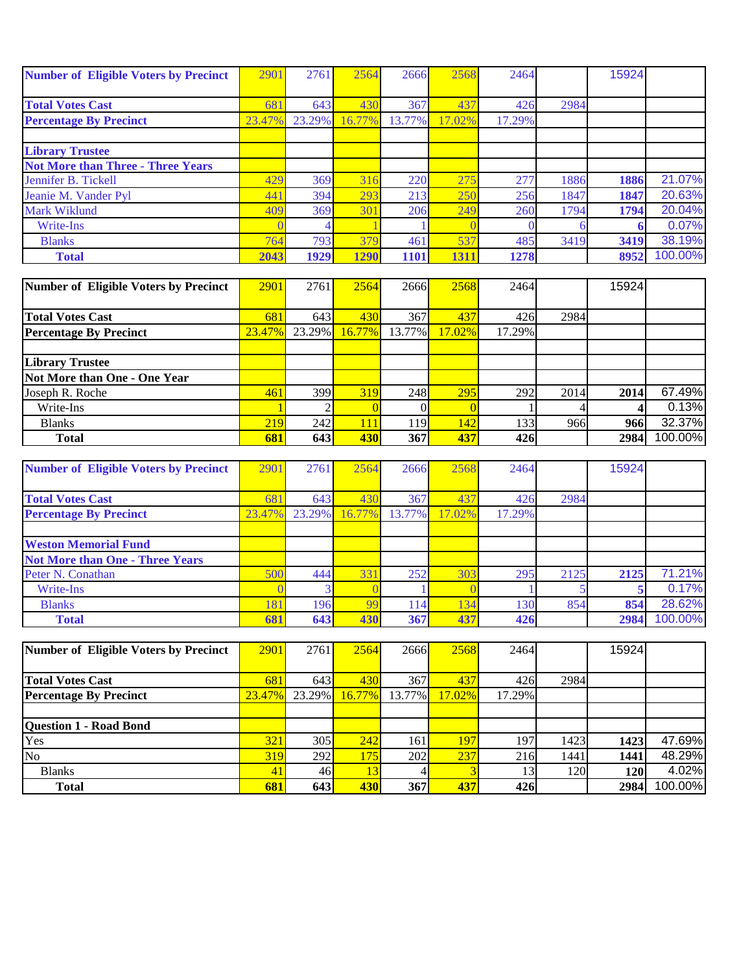| <b>Number of Eligible Voters by Precinct</b> | 290    | 2761   | 2564        | 2666   | 2568   | 2464   |      | 15924 |         |
|----------------------------------------------|--------|--------|-------------|--------|--------|--------|------|-------|---------|
|                                              |        |        |             |        |        |        |      |       |         |
| <b>Total Votes Cast</b>                      | 68     | 643    | 430         | 367    | 437    | 426    | 2984 |       |         |
| <b>Percentage By Precinct</b>                | 23.47% | 23.29% | 16.77%      | 13.77% | 17.02% | 17.29% |      |       |         |
|                                              |        |        |             |        |        |        |      |       |         |
| <b>Library Trustee</b>                       |        |        |             |        |        |        |      |       |         |
| <b>Not More than Three - Three Years</b>     |        |        |             |        |        |        |      |       |         |
| Jennifer B. Tickell                          | 429    | 369    | 316         | 220    | 275    | 277    | 1886 | 1886  | 21.07%  |
| Jeanie M. Vander Pyl                         | 441    | 394    | 293         | 213    | 25(    | 256    | 1847 | 1847  | 20.63%  |
| <b>Mark Wiklund</b>                          | 409    | 369    | 301         | 206    | 249    | 260    | 1794 | 1794  | 20.04%  |
| Write-Ins                                    |        |        |             |        |        |        |      |       | 0.07%   |
| <b>Blanks</b>                                | 764    | 793    | 379         | 461    | 537    | 485    | 3419 | 3419  | 38.19%  |
| <b>Total</b>                                 | 2043   | 1929   | <b>1290</b> | 1101   | 1311   | 1278   |      | 8952  | 100.00% |

| Number of Eligible Voters by Precinct | 2901       | 2761   | 2564      | 2666   | 2568   | 2464   |      | 15924 |         |
|---------------------------------------|------------|--------|-----------|--------|--------|--------|------|-------|---------|
|                                       |            |        |           |        |        |        |      |       |         |
| <b>Total Votes Cast</b>               | 681        | 643    | 430       | 367    | 437    | 426    | 2984 |       |         |
| <b>Percentage By Precinct</b>         | 23.47%     | 23.29% | $16.77\%$ | 13.77% | 17.02% | 17.29% |      |       |         |
|                                       |            |        |           |        |        |        |      |       |         |
| <b>Library Trustee</b>                |            |        |           |        |        |        |      |       |         |
| Not More than One - One Year          |            |        |           |        |        |        |      |       |         |
| Joseph R. Roche                       | 461        | 399    | 319       | 248    | 295    | 292    | 2014 | 2014  | 67.49%  |
| Write-Ins                             |            |        |           |        |        |        |      |       | 0.13%   |
| <b>Blanks</b>                         | 219        | 242    | 111       | 119    | 142    | 133    | 966  | 966   | 32.37%  |
| <b>Total</b>                          | <b>681</b> | 643    | 430       | 367    | 437    | 426    |      | 2984  | 100.00% |

| <b>Number of Eligible Voters by Precinct</b> | 2901         | 2761   | 2564   | 2666   | 2568   | 2464   |      | 15924 |         |
|----------------------------------------------|--------------|--------|--------|--------|--------|--------|------|-------|---------|
|                                              |              |        |        |        |        |        |      |       |         |
| <b>Total Votes Cast</b>                      | 68           | 643    | 430    | 367    | 43'    | 426    | 2984 |       |         |
| <b>Percentage By Precinct</b>                | 23.47%       | 23.29% | 16.77% | 13.77% | 17.02% | 17.29% |      |       |         |
|                                              |              |        |        |        |        |        |      |       |         |
| <b>Weston Memorial Fund</b>                  |              |        |        |        |        |        |      |       |         |
| <b>Not More than One - Three Years</b>       |              |        |        |        |        |        |      |       |         |
| Peter N. Conathan                            | 500          | 444    | 331    | 252    | 303    | 295    | 2125 | 2125  | 71.21%  |
| Write-Ins                                    |              |        |        |        |        |        |      |       | 0.17%   |
| <b>Blanks</b>                                | $18^{\circ}$ | 196    | 99     | 14     | 134    | 130    | 854  | 854   | 28.62%  |
| <b>Total</b>                                 | 681          | 643    | 430    | 367    | 437    | 426    |      | 2984  | 100.00% |

| Number of Eligible Voters by Precinct | 2901      | 2761            | 2564   | 2666   | 2568      | 2464   |            | 15924      |         |
|---------------------------------------|-----------|-----------------|--------|--------|-----------|--------|------------|------------|---------|
|                                       |           |                 |        |        |           |        |            |            |         |
| <b>Total Votes Cast</b>               | 681       | 643             | 430    | 367    | 437       | 426    | 2984       |            |         |
| <b>Percentage By Precinct</b>         | $23.47\%$ | 23.29%          | 16.77% | 13.77% | $17.02\%$ | 17.29% |            |            |         |
|                                       |           |                 |        |        |           |        |            |            |         |
| <b>Question 1 - Road Bond</b>         |           |                 |        |        |           |        |            |            |         |
| Yes                                   | 321       | 305             | 242    | 161    | 197       | 197    | 1423       | 1423       | 47.69%  |
| N <sub>o</sub>                        | 319       | 292             | 175    | 202    | 237       | 216    | 1441       | 1441       | 48.29%  |
| <b>Blanks</b>                         | 41        | 46 <sup> </sup> | 13     |        |           |        | <b>120</b> | <b>120</b> | 4.02%   |
| <b>Total</b>                          | 681       | 643             | 430    | 367    | 437       | 426    |            | 2984       | 100.00% |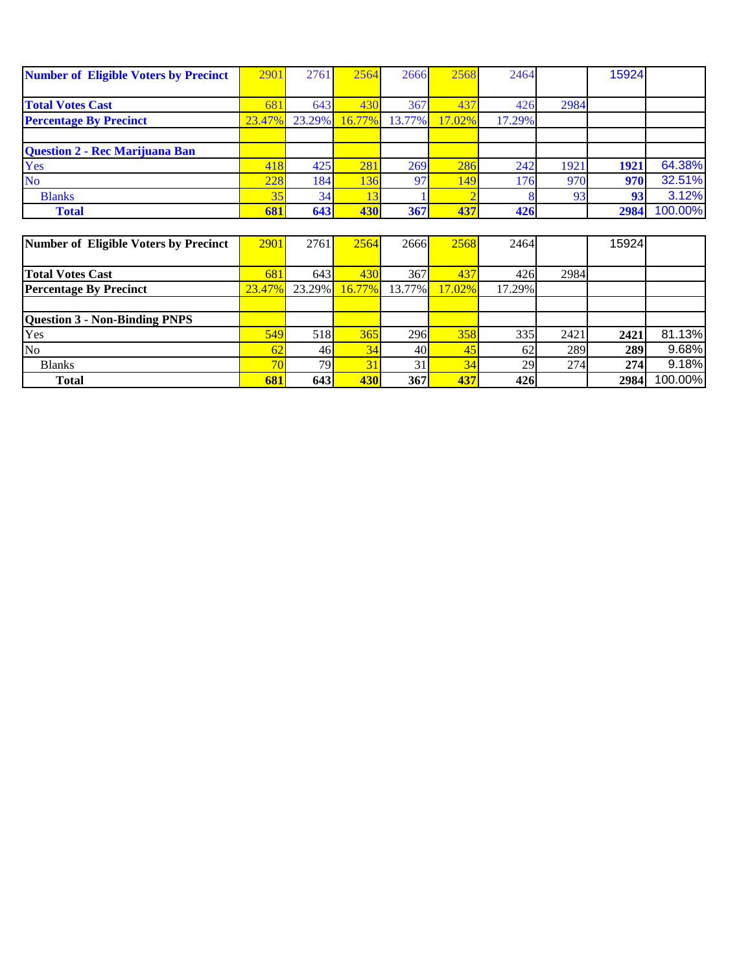| <b>Number of Eligible Voters by Precinct</b> | 290    | 2761   | 2564   | 2666   | 2568   | 2464   |      | 15924 |         |
|----------------------------------------------|--------|--------|--------|--------|--------|--------|------|-------|---------|
|                                              |        |        |        |        |        |        |      |       |         |
| <b>Total Votes Cast</b>                      | 68     | 643    | 430    | 367    | 437    | 426    | 2984 |       |         |
| <b>Percentage By Precinct</b>                | 23.47% | 23.29% | 16.77% | 13.77% | 17.02% | 17.29% |      |       |         |
|                                              |        |        |        |        |        |        |      |       |         |
| Question 2 - Rec Marijuana Ban               |        |        |        |        |        |        |      |       |         |
| Yes                                          | 418    | 425    | 281    | 269    | 286    | 242    | 1921 | 1921  | 64.38%  |
| <b>No</b>                                    | 228    | 184    | 136    | 97     | 149    | 176    | 970  | 970   | 32.51%  |
| <b>Blanks</b>                                | 35     | 34     | 13     |        |        |        | 93   | 93    | 3.12%   |
| <b>Total</b>                                 | 681    | 643    | 430    | 367    | 437    | 426    |      | 2984  | 100.00% |
|                                              |        |        |        |        |        |        |      |       |         |
| Number of Eligible Voters by Precinct        | 2901   | 2761   | 2564   | 2666   | 2568   | 2464   |      | 15924 |         |
|                                              |        |        |        |        |        |        |      |       |         |
| <b>Total Votes Cast</b>                      | 681    | 643    | 430    | 367    | 437    | 426    | 2984 |       |         |
| <b>Percentage By Precinct</b>                | 23.47% | 23.29% | 16.77% | 13.77% | 17.02% | 17.29% |      |       |         |
|                                              |        |        |        |        |        |        |      |       |         |

| <b>Question 3 - Non-Binding PNPS</b> |                         |                  |     |            |     |     |      |      |            |
|--------------------------------------|-------------------------|------------------|-----|------------|-----|-----|------|------|------------|
| Yes                                  | <b>549</b>              | 518 <sup> </sup> | 365 | <b>296</b> | 358 | 335 | 2421 | 2421 | 81.13%     |
| No                                   |                         | 46 <sup> </sup>  | 34  | 40         | 45  | 62  | 289  | 289  | 9.68%      |
| <b>Blanks</b>                        | $\overline{\mathbf{a}}$ | 79               |     | 31         | 34  | 29  | 274  | 274  | 9.18%      |
| <b>Total</b>                         | 681                     | 643              | 430 | 367        | 437 | 426 |      | 2984 | $100.00\%$ |